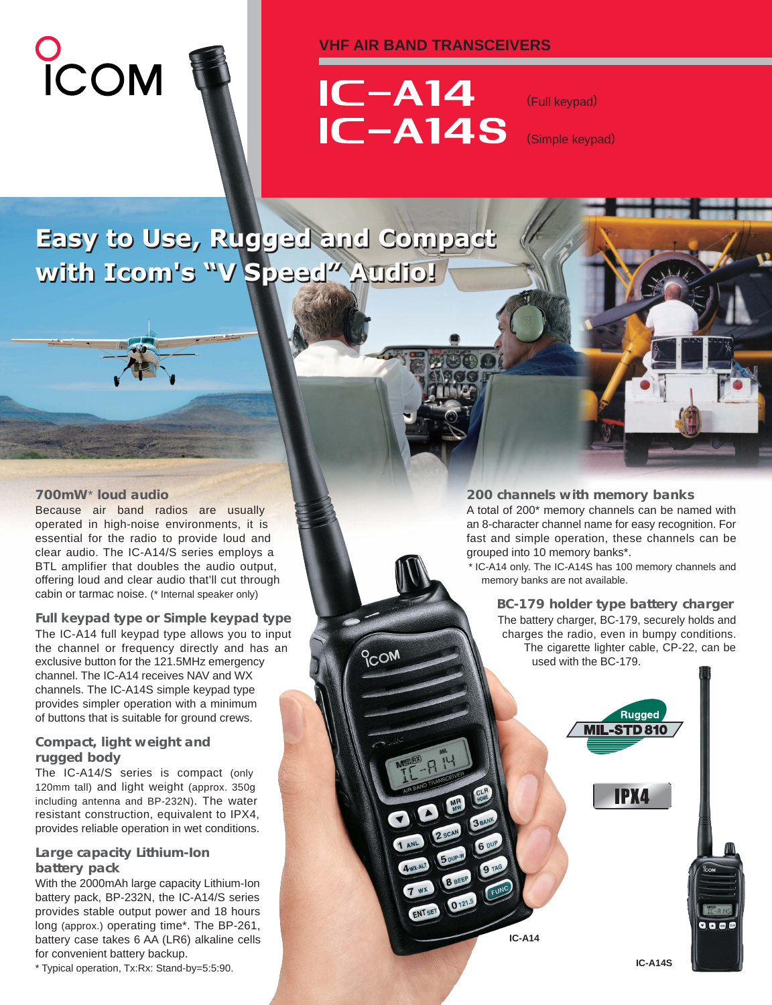# COM



# **VHF AIR BAND TRANSCEIVERS**



**PCOM** 

 $7 w x$ 

ENTSET 0121.5

(Full keypad)

(Simple keypad)

# **Easy to Use, Rugged and Compact Easy to Use, Rugged and Compact with Icom's "V Speed" Audio! with Icom's "V Speed" Audio!**

# **700mW**\* **loud audio**

Because air band radios are usually operated in high-noise environments, it is essential for the radio to provide loud and clear audio. The IC-A14/S series employs a BTL amplifier that doubles the audio output, offering loud and clear audio that'll cut through cabin or tarmac noise. (\* Internal speaker only)

#### **Full keypad type or Simple keypad type**

The IC-A14 full keypad type allows you to input the channel or frequency directly and has an exclusive button for the 121.5MHz emergency channel. The IC-A14 receives NAV and WX channels. The IC-A14S simple keypad type provides simpler operation with a minimum of buttons that is suitable for ground crews.

# **Compact, light weight and rugged body**

The IC-A14/S series is compact (only 120mm tall) and light weight (approx. 350g including antenna and BP-232N). The water resistant construction, equivalent to IPX4, provides reliable operation in wet conditions.

## **Large capacity Lithium-Ion battery pack**

With the 2000mAh large capacity Lithium-Ion battery pack, BP-232N, the IC-A14/S series provides stable output power and 18 hours long (approx.) operating time\*. The BP-261, battery case takes 6 AA (LR6) alkaline cells for convenient battery backup.

\* Typical operation, Tx:Rx: Stand-by=5:5:90. **IC-A14S**

# **200 channels with memory banks**

A total of 200\* memory channels can be named with an 8-character channel name for easy recognition. For fast and simple operation, these channels can be grouped into 10 memory banks\*.

\* IC-A14 only. The IC-A14S has 100 memory channels and memory banks are not available.

> **BC-179 holder type battery charger** The battery charger, BC-179, securely holds and charges the radio, even in bumpy conditions. The cigarette lighter cable, CP-22, can be used with the BC-179.

> > Rugged **MIL-STD 810**

> > > **IPX4**

**IC-A14**

 $\begin{array}{c} \mathbf{0} & \mathbf{0} & \mathbf{0} \end{array}$ 

**MENT**<br>Tr-B N'